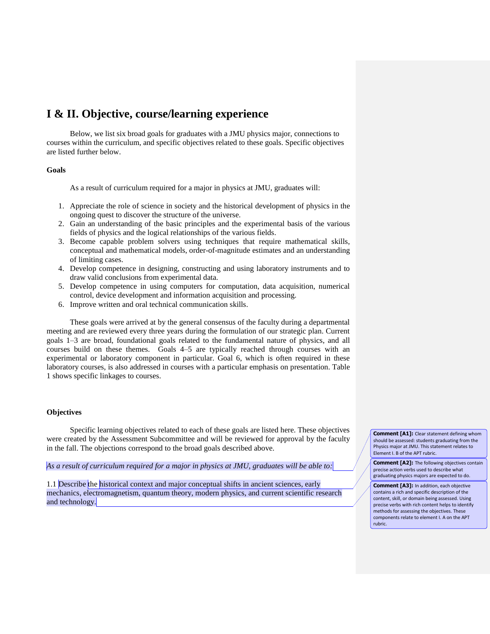# **I & II. Objective, course/learning experience**

Below, we list six broad goals for graduates with a JMU physics major, connections to courses within the curriculum, and specific objectives related to these goals. Specific objectives are listed further below.

### **Goals**

As a result of curriculum required for a major in physics at JMU, graduates will:

- 1. Appreciate the role of science in society and the historical development of physics in the ongoing quest to discover the structure of the universe.
- 2. Gain an understanding of the basic principles and the experimental basis of the various fields of physics and the logical relationships of the various fields.
- 3. Become capable problem solvers using techniques that require mathematical skills, conceptual and mathematical models, order-of-magnitude estimates and an understanding of limiting cases.
- 4. Develop competence in designing, constructing and using laboratory instruments and to draw valid conclusions from experimental data.
- 5. Develop competence in using computers for computation, data acquisition, numerical control, device development and information acquisition and processing.
- 6. Improve written and oral technical communication skills.

These goals were arrived at by the general consensus of the faculty during a departmental meeting and are reviewed every three years during the formulation of our strategic plan. Current goals 1–3 are broad, foundational goals related to the fundamental nature of physics, and all courses build on these themes. Goals 4–5 are typically reached through courses with an experimental or laboratory component in particular. Goal 6, which is often required in these laboratory courses, is also addressed in courses with a particular emphasis on presentation. Table 1 shows specific linkages to courses.

### **Objectives**

Specific learning objectives related to each of these goals are listed here. These objectives were created by the Assessment Subcommittee and will be reviewed for approval by the faculty in the fall. The objections correspond to the broad goals described above.

*As a result of curriculum required for a major in physics at JMU, graduates will be able to:*

1.1 Describe the historical context and major conceptual shifts in ancient sciences, early mechanics, electromagnetism, quantum theory, modern physics, and current scientific research and technology.

**Comment [A1]:** Clear statement defining whom should be assessed: students graduating from the Physics major at JMU. This statement relates to Element I. B of the APT rubric.

**Comment [A2]:** The following objectives contain precise action verbs used to describe what graduating physics majors are expected to do.

**Comment [A3]:** In addition, each objective contains a rich and specific description of the content, skill, or domain being assessed. Using precise verbs with rich content helps to identify methods for assessing the objectives. These components relate to element I. A on the APT rubric.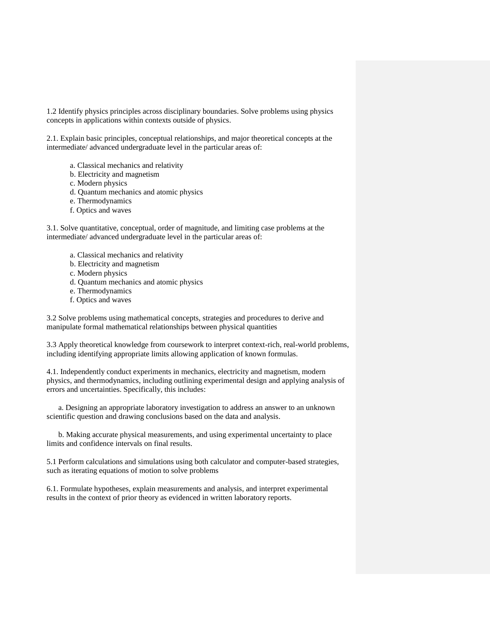1.2 Identify physics principles across disciplinary boundaries. Solve problems using physics concepts in applications within contexts outside of physics.

2.1. Explain basic principles, conceptual relationships, and major theoretical concepts at the intermediate/ advanced undergraduate level in the particular areas of:

- a. Classical mechanics and relativity
- b. Electricity and magnetism
- c. Modern physics
- d. Quantum mechanics and atomic physics
- e. Thermodynamics
- f. Optics and waves

3.1. Solve quantitative, conceptual, order of magnitude, and limiting case problems at the intermediate/ advanced undergraduate level in the particular areas of:

- a. Classical mechanics and relativity
- b. Electricity and magnetism
- c. Modern physics
- d. Quantum mechanics and atomic physics
- e. Thermodynamics
- f. Optics and waves

3.2 Solve problems using mathematical concepts, strategies and procedures to derive and manipulate formal mathematical relationships between physical quantities

3.3 Apply theoretical knowledge from coursework to interpret context-rich, real-world problems, including identifying appropriate limits allowing application of known formulas.

4.1. Independently conduct experiments in mechanics, electricity and magnetism, modern physics, and thermodynamics, including outlining experimental design and applying analysis of errors and uncertainties. Specifically, this includes:

a. Designing an appropriate laboratory investigation to address an answer to an unknown scientific question and drawing conclusions based on the data and analysis.

b. Making accurate physical measurements, and using experimental uncertainty to place limits and confidence intervals on final results.

5.1 Perform calculations and simulations using both calculator and computer-based strategies, such as iterating equations of motion to solve problems

6.1. Formulate hypotheses, explain measurements and analysis, and interpret experimental results in the context of prior theory as evidenced in written laboratory reports.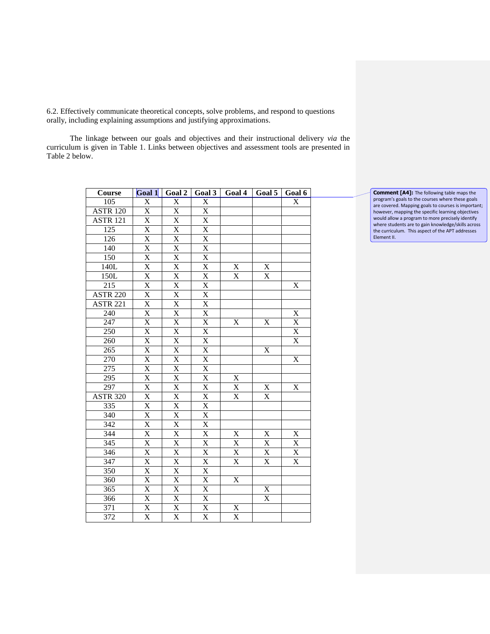6.2. Effectively communicate theoretical concepts, solve problems, and respond to questions orally, including explaining assumptions and justifying approximations.

The linkage between our goals and objectives and their instructional delivery *via* the curriculum is given in Table 1. Links between objectives and assessment tools are presented in Table 2 below.

| Course           | Goal 1                  | Goal 2                    | Goal 3                  | Goal 4                  | Goal 5                  | Goal 6                  |
|------------------|-------------------------|---------------------------|-------------------------|-------------------------|-------------------------|-------------------------|
| $\overline{105}$ | $\overline{X}$          | $\overline{X}$            | $\overline{\text{X}}$   |                         |                         | $\overline{X}$          |
| <b>ASTR 120</b>  | $\overline{\text{X}}$   | $\overline{\mathrm{X}}$   | $\overline{\text{X}}$   |                         |                         |                         |
| <b>ASTR 121</b>  | X                       | $\overline{\text{X}}$     | $\mathbf X$             |                         |                         |                         |
| $\overline{125}$ | $\overline{\text{X}}$   | $\overline{\text{X}}$     | $\overline{\text{X}}$   |                         |                         |                         |
| 126              | $\overline{X}$          | $\frac{1}{\underline{X}}$ | X                       |                         |                         |                         |
| 140              | $\overline{\text{X}}$   | $\overline{\mathrm{X}}$   | $\overline{\text{X}}$   |                         |                         |                         |
| 150              | $\overline{X}$          | $\overline{X}$            | $\overline{X}$          |                         |                         |                         |
| 140L             | $\overline{X}$          | $\overline{\text{X}}$     | $\overline{X}$          | X                       | X                       |                         |
| 150L             | $\overline{X}$          | $\overline{\text{X}}$     | $\overline{X}$          | $\overline{\mathbf{X}}$ | $\overline{X}$          |                         |
| $\overline{215}$ | $\overline{X}$          | $\overline{X}$            | $\overline{X}$          |                         |                         | $\overline{\mathbf{X}}$ |
| <b>ASTR 220</b>  | $\overline{X}$          | $\overline{X}$            | $\overline{X}$          |                         |                         |                         |
| <b>ASTR 221</b>  | $\overline{\mathrm{X}}$ | $\overline{\text{X}}$     | $\overline{\text{X}}$   |                         |                         |                         |
| $\overline{240}$ | $\overline{X}$          | $\overline{\text{X}}$     | $\overline{X}$          |                         |                         | $\mathbf X$             |
| 247              | X                       | $\overline{\text{X}}$     | X                       | X                       | $\mathbf X$             | $\mathbf X$             |
| $\overline{250}$ | $\overline{\mathrm{X}}$ | $\overline{\text{X}}$     | $\overline{\text{X}}$   |                         |                         | $\overline{\mathbf{X}}$ |
| 260              | $\mathbf X$             | $\overline{\text{X}}$     | X                       |                         |                         | $\overline{\text{X}}$   |
| $\overline{265}$ | $\overline{\text{X}}$   | $\overline{\text{X}}$     | $\overline{X}$          |                         | $\mathbf X$             |                         |
| 270              | $\overline{\text{X}}$   | $\overline{\text{X}}$     | $\overline{X}$          |                         |                         | $\overline{\text{X}}$   |
| $\overline{275}$ | $\overline{\text{X}}$   | $\overline{\text{X}}$     | $\mathbf X$             |                         |                         |                         |
| 295              | $\overline{X}$          | $\overline{\text{X}}$     | $\overline{X}$          | $\mathbf X$             |                         |                         |
| 297              | $\overline{\text{X}}$   | $\overline{\text{X}}$     | $\overline{\text{X}}$   | $\mathbf X$             | X                       | X                       |
| <b>ASTR 320</b>  | $\overline{X}$          | $\overline{\text{X}}$     | $\overline{\text{X}}$   | $\overline{X}$          | $\overline{\mathrm{X}}$ |                         |
| 335              | $\overline{\mathrm{X}}$ | $\overline{\text{X}}$     | $\overline{\text{X}}$   |                         |                         |                         |
| 340              | $\overline{\text{X}}$   | $\overline{\mathrm{X}}$   | $\overline{\text{X}}$   |                         |                         |                         |
| $\overline{342}$ | $\overline{\text{X}}$   | $\overline{\text{X}}$     | $\overline{\text{X}}$   |                         |                         |                         |
| $\overline{344}$ | $\overline{X}$          | $\overline{X}$            | $\overline{X}$          | $\mathbf X$             | $\mathbf X$             | X                       |
| $\overline{345}$ | $\overline{\text{X}}$   | $\overline{\text{X}}$     | $\overline{\text{X}}$   | $\overline{X}$          | $\overline{X}$          | $\overline{X}$          |
| 346              | $\mathbf X$             | $\mathbf X$               | $\mathbf X$             | X                       | $\mathbf X$             | $\mathbf X$             |
| 347              | $\overline{\text{X}}$   | $\overline{\text{X}}$     | $\overline{\text{X}}$   | $\overline{X}$          | $\overline{\text{X}}$   | $\overline{\text{X}}$   |
| 350              | $\overline{\textbf{X}}$ | $\overline{\textbf{X}}$   | $\mathbf X$             |                         |                         |                         |
| 360              | $\overline{X}$          | $\overline{X}$            | $\overline{\text{X}}$   | X                       |                         |                         |
| 365              | $\overline{X}$          | $\overline{\text{X}}$     | $\overline{\text{X}}$   |                         | $\mathbf X$             |                         |
| 366              | $\overline{\text{X}}$   | $\overline{\text{X}}$     | $\overline{\text{X}}$   |                         | $\overline{\text{X}}$   |                         |
| 371              | $\overline{\mathrm{X}}$ | $\overline{\mathrm{X}}$   | $\overline{X}$          | $\overline{\text{X}}$   |                         |                         |
| 372              | $\overline{\text{X}}$   | $\overline{X}$            | $\overline{\mathrm{X}}$ | $\overline{\mathrm{X}}$ |                         |                         |

**Comment [A4]:** The following table maps the program's goals to the courses where these goals are covered. Mapping goals to courses is important; however, mapping the specific learning objectives would allow a program to more precisely identify where students are to gain knowledge/skills across the curriculum. This aspect of the APT addresses Element II.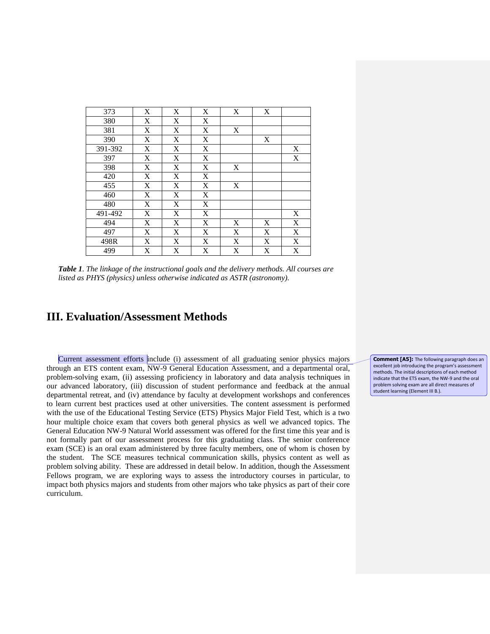| 373     | X | X           | X           | X           | X           |                         |
|---------|---|-------------|-------------|-------------|-------------|-------------------------|
| 380     | X | X           | X           |             |             |                         |
| 381     | X | X           | $\mathbf X$ | X           |             |                         |
| 390     | X | $\mathbf X$ | X           |             | X           |                         |
| 391-392 | X | X           | X           |             |             | X                       |
| 397     | X | X           | X           |             |             | X                       |
| 398     | X | X           | X           | X           |             |                         |
| 420     | X | X           | X           |             |             |                         |
| 455     | X | $\mathbf X$ | $\mathbf X$ | X           |             |                         |
| 460     | X | $\mathbf X$ | $\mathbf X$ |             |             |                         |
| 480     | X | $\mathbf X$ | X           |             |             |                         |
| 491-492 | X | X           | X           |             |             | X                       |
| 494     | X | X           | X           | X           | X           | $\mathbf X$             |
| 497     | X | X           | $\mathbf X$ | $\mathbf X$ | $\mathbf X$ | $\overline{\mathbf{X}}$ |
| 498R    | X | X           | X           | X           | X           | X                       |
| 499     | X | X           | X           | X           | X           | X                       |

*Table 1. The linkage of the instructional goals and the delivery methods. All courses are listed as PHYS (physics) unless otherwise indicated as ASTR (astronomy).*

## **III. Evaluation/Assessment Methods**

Current assessment efforts include (i) assessment of all graduating senior physics majors through an ETS content exam, NW-9 General Education Assessment, and a departmental oral, problem-solving exam, (ii) assessing proficiency in laboratory and data analysis techniques in our advanced laboratory, (iii) discussion of student performance and feedback at the annual departmental retreat, and (iv) attendance by faculty at development workshops and conferences to learn current best practices used at other universities. The content assessment is performed with the use of the Educational Testing Service (ETS) Physics Major Field Test, which is a two hour multiple choice exam that covers both general physics as well we advanced topics. The General Education NW-9 Natural World assessment was offered for the first time this year and is not formally part of our assessment process for this graduating class. The senior conference exam (SCE) is an oral exam administered by three faculty members, one of whom is chosen by the student. The SCE measures technical communication skills, physics content as well as problem solving ability. These are addressed in detail below. In addition, though the Assessment Fellows program, we are exploring ways to assess the introductory courses in particular, to impact both physics majors and students from other majors who take physics as part of their core curriculum.

**Comment [A5]:** The following paragraph does an excellent job introducing the program's assessment methods. The initial descriptions of each method indicate that the ETS exam, the NW-9 and the oral problem solving exam are all direct measures of student learning (Element III B.).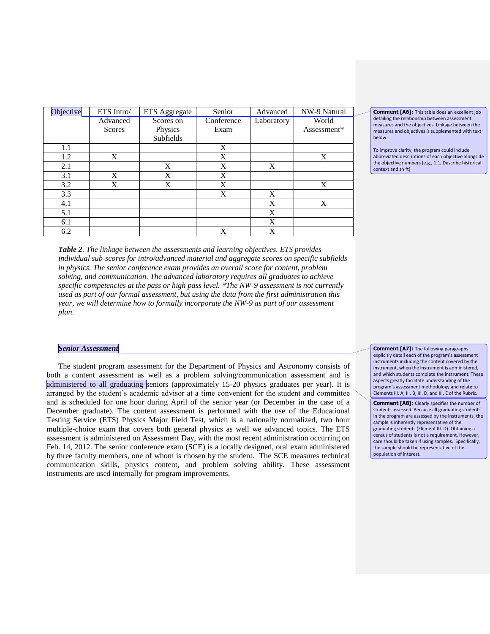| Objective        | ETS Intro/    | ETS Aggregate | Senior     | Advanced   | NW-9 Natural |  |
|------------------|---------------|---------------|------------|------------|--------------|--|
|                  | Advanced      | Scores on     | Conference | Laboratory | World        |  |
|                  | <b>Scores</b> | Physics       | Exam       |            | Assessment*  |  |
|                  |               | Subfields     |            |            |              |  |
| 1.1              |               |               | X          |            |              |  |
| 1.2              | X             |               | X          |            | X            |  |
| 2.1              |               | X             | X          | X          |              |  |
| 3.1              | X             | X             | X          |            |              |  |
| 3.2              | X             | X             | X          |            | X            |  |
| $\overline{3.3}$ |               |               | X          | X          |              |  |
| 4.1              |               |               |            | X          | X            |  |
| 5.1              |               |               |            | X          |              |  |
| 6.1              |               |               |            | X          |              |  |
| 6.2              |               |               | X          | X          |              |  |

*Table 2. The linkage between the assessments and learning objectives. ETS provides individual sub-scores for intro/advanced material and aggregate scores on specific subfields in physics. The senior conference exam provides an overall score for content, problem solving, and communication. The advanced laboratory requires all graduates to achieve specific competencies at the pass or high pass level. \*The NW-9 assessment is not currently used as part of our formal assessment, but using the data from the first administration this year, we will determine how to formally incorporate the NW-9 as part of our assessment plan.* 

### *Senior Assessment*

The student program assessment for the Department of Physics and Astronomy consists of both a content assessment as well as a problem solving/communication assessment and is administered to all graduating seniors (approximately 15-20 physics graduates per year). It is arranged by the student's academic advisor at a time convenient for the student and committee and is scheduled for one hour during April of the senior year (or December in the case of a December graduate). The content assessment is performed with the use of the Educational Testing Service (ETS) Physics Major Field Test, which is a nationally normalized, two hour multiple-choice exam that covers both general physics as well we advanced topics. The ETS assessment is administered on Assessment Day, with the most recent administration occurring on Feb. 14, 2012. The senior conference exam (SCE) is a locally designed, oral exam administered by three faculty members, one of whom is chosen by the student. The SCE measures technical communication skills, physics content, and problem solving ability. These assessment instruments are used internally for program improvements.

**Comment [A6]:** This table does an excellent job detailing the relationship between assessment measures and the objectives. Linkage between the measures and objectives is supplemented with text below.

To improve clarity, the program could include abbreviated descriptions of each objective alongside the objective numbers (e.g., 1.1, Describe historical context and shift) .

**Comment [A7]:** The following paragraphs explicitly detail each of the program's assessment instruments including the content covered by the instrument, when the instrument is administered, and which students complete the instrument. These aspects greatly facilitate understanding of the program's assessment methodology and relate to Elements III. A, III. B, III. D, and III. E of the Rubric.

**Comment [A8]:** Clearly specifies the number of students assessed. Because all graduating students in the program are assessed by the instruments, the sample is inherently representative of the graduating students (Element III. D). Obtaining a census of students is not a requirement. However, care should be taken if using samples. Specifically, the sample should be representative of the population of interest.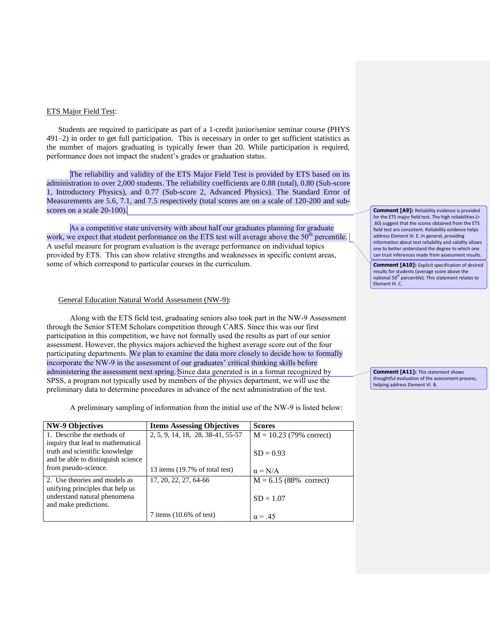### ETS Major Field Test:

Students are required to participate as part of a 1-credit junior/senior seminar course (PHYS 491–2) in order to get full participation. This is necessary in order to get sufficient statistics as the number of majors graduating is typically fewer than 20. While participation is required, performance does not impact the student's grades or graduation status.

The reliability and validity of the ETS Major Field Test is provided by ETS based on its administration to over 2,000 students. The reliability coefficients are 0.88 (total), 0.80 (Sub-score 1, Introductory Physics), and 0.77 (Sub-score 2, Advanced Physics). The Standard Error of Measurements are 5.6, 7.1, and 7.5 respectively (total scores are on a scale of 120-200 and subscores on a scale 20-100).

As a competitive state university with about half our graduates planning for graduate work, we expect that student performance on the ETS test will average above the  $50<sup>th</sup>$  percentile. A useful measure for program evaluation is the average performance on individual topics provided by ETS. This can show relative strengths and weaknesses in specific content areas, some of which correspond to particular courses in the curriculum.

### General Education Natural World Assessment (NW-9):

Along with the ETS field test, graduating seniors also took part in the NW-9 Assessment through the Senior STEM Scholars competition through CARS. Since this was our first participation in this competition, we have not formally used the results as part of our senior assessment. However, the physics majors achieved the highest average score out of the four participating departments. We plan to examine the data more closely to decide how to formally incorporate the NW-9 in the assessment of our graduates' critical thinking skills before administering the assessment next spring. Since data generated is in a format recognized by SPSS, a program not typically used by members of the physics department, we will use the preliminary data to determine procedures in advance of the next administration of the test.

A preliminary sampling of information from the initial use of the NW-9 is listed below:

| <b>NW-9 Objectives</b>             | <b>Items Assessing Objectives</b>    | <b>Scores</b>             |
|------------------------------------|--------------------------------------|---------------------------|
| 1. Describe the methods of         | 2, 5, 9, 14, 18, 28, 38-41, 55-57    | $M = 10.23$ (79% correct) |
| inquiry that lead to mathematical  |                                      |                           |
| truth and scientific knowledge     |                                      | $SD = 0.93$               |
| and be able to distinguish science |                                      |                           |
| from pseudo-science.               | 13 items (19.7% of total test)       | $\alpha = N/A$            |
| 2. Use theories and models as      | 17, 20, 22, 27, 64-66                | $M = 6.15(88\%$ correct)  |
| unifying principles that help us   |                                      |                           |
| understand natural phenomena       |                                      | $SD = 1.07$               |
| and make predictions.              |                                      |                           |
|                                    | $7$ items $(10.6\% \text{ of test})$ | $\alpha = .45$            |

**Comment [A9]:** Reliability evidence is provided for the ETS major field test. The high reliabilities (> .60) suggest that the scores obtained from the ETS field test are consistent. Reliability evidence helps address Element III. E. In general, providing information about test reliability and validity allows one to better understand the degree to which one can trust inferences made from assessment results.

**Comment [A10]:** Explicit specification of desired results for students (average score above the national 50th percentile). This statement relates to Element III. C.

**Comment [A11]:** This statement shows thoughtful evaluation of the assessment process, helping address Element VI. B.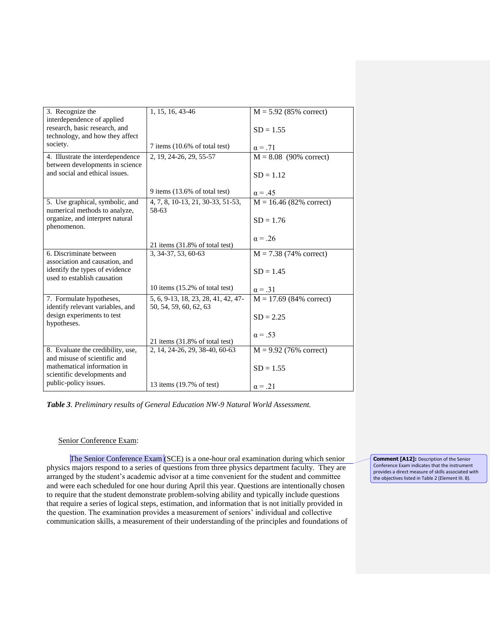| 3. Recognize the                  | 1, 15, 16, 43-46                           | $M = 5.92$ (85% correct)  |
|-----------------------------------|--------------------------------------------|---------------------------|
| interdependence of applied        |                                            |                           |
| research, basic research, and     |                                            | $SD = 1.55$               |
| technology, and how they affect   |                                            |                           |
| society.                          | $7$ items $(10.6\% \text{ of total test})$ | $\alpha = .71$            |
| 4. Illustrate the interdependence | 2, 19, 24-26, 29, 55-57                    | $M = 8.08$ (90% correct)  |
| between developments in science   |                                            |                           |
| and social and ethical issues.    |                                            | $SD = 1.12$               |
|                                   |                                            |                           |
|                                   | 9 items $(13.6\% \text{ of total test})$   | $\alpha = .45$            |
| 5. Use graphical, symbolic, and   | 4, 7, 8, 10-13, 21, 30-33, 51-53,          | $M = 16.46$ (82% correct) |
| numerical methods to analyze,     | 58-63                                      |                           |
| organize, and interpret natural   |                                            | $SD = 1.76$               |
| phenomenon.                       |                                            |                           |
|                                   |                                            | $\alpha = .26$            |
|                                   | 21 items $(31.8\% \text{ of total test})$  |                           |
| 6. Discriminate between           | 3, 34-37, 53, 60-63                        | $M = 7.38$ (74% correct)  |
| association and causation, and    |                                            |                           |
| identify the types of evidence    |                                            | $SD = 1.45$               |
| used to establish causation       |                                            |                           |
|                                   | 10 items $(15.2\% \text{ of total test})$  | $\alpha = .31$            |
| 7. Formulate hypotheses,          | 5, 6, 9-13, 18, 23, 28, 41, 42, 47-        | $M = 17.69$ (84% correct) |
| identify relevant variables, and  | 50, 54, 59, 60, 62, 63                     |                           |
| design experiments to test        |                                            | $SD = 2.25$               |
| hypotheses.                       |                                            |                           |
|                                   |                                            | $\alpha = .53$            |
|                                   | 21 items (31.8% of total test)             |                           |
| 8. Evaluate the credibility, use, | 2, 14, 24-26, 29, 38-40, 60-63             | $M = 9.92$ (76% correct)  |
| and misuse of scientific and      |                                            |                           |
| mathematical information in       |                                            | $SD = 1.55$               |
| scientific developments and       |                                            |                           |
| public-policy issues.             | 13 items (19.7% of test)                   | $\alpha = .21$            |
|                                   |                                            |                           |

*Table 3. Preliminary results of General Education NW-9 Natural World Assessment.*

## Senior Conference Exam:

The Senior Conference Exam (SCE) is a one-hour oral examination during which senior physics majors respond to a series of questions from three physics department faculty. They are arranged by the student's academic advisor at a time convenient for the student and committee and were each scheduled for one hour during April this year. Questions are intentionally chosen to require that the student demonstrate problem-solving ability and typically include questions that require a series of logical steps, estimation, and information that is not initially provided in the question. The examination provides a measurement of seniors' individual and collective communication skills, a measurement of their understanding of the principles and foundations of

**Comment [A12]:** Description of the Senior Conference Exam indicates that the instrument provides a direct measure of skills associated with the objectives listed in Table 2 (Element III. B).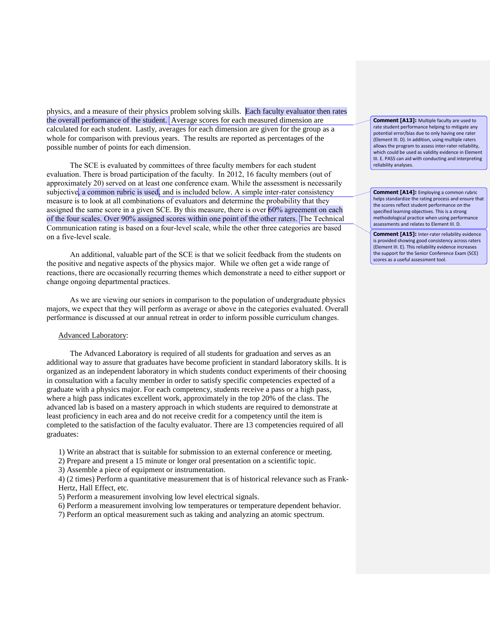physics, and a measure of their physics problem solving skills. Each faculty evaluator then rates the overall performance of the student. Average scores for each measured dimension are calculated for each student. Lastly, averages for each dimension are given for the group as a whole for comparison with previous years. The results are reported as percentages of the possible number of points for each dimension.

The SCE is evaluated by committees of three faculty members for each student evaluation. There is broad participation of the faculty. In 2012, 16 faculty members (out of approximately 20) served on at least one conference exam. While the assessment is necessarily subjective, a common rubric is used, and is included below. A simple inter-rater consistency measure is to look at all combinations of evaluators and determine the probability that they assigned the same score in a given SCE. By this measure, there is over 60% agreement on each of the four scales. Over 90% assigned scores within one point of the other raters. The Technical Communication rating is based on a four-level scale, while the other three categories are based on a five-level scale.

An additional, valuable part of the SCE is that we solicit feedback from the students on the positive and negative aspects of the physics major. While we often get a wide range of reactions, there are occasionally recurring themes which demonstrate a need to either support or change ongoing departmental practices.

As we are viewing our seniors in comparison to the population of undergraduate physics majors, we expect that they will perform as average or above in the categories evaluated. Overall performance is discussed at our annual retreat in order to inform possible curriculum changes.

#### Advanced Laboratory:

The Advanced Laboratory is required of all students for graduation and serves as an additional way to assure that graduates have become proficient in standard laboratory skills. It is organized as an independent laboratory in which students conduct experiments of their choosing in consultation with a faculty member in order to satisfy specific competencies expected of a graduate with a physics major. For each competency, students receive a pass or a high pass, where a high pass indicates excellent work, approximately in the top 20% of the class. The advanced lab is based on a mastery approach in which students are required to demonstrate at least proficiency in each area and do not receive credit for a competency until the item is completed to the satisfaction of the faculty evaluator. There are 13 competencies required of all graduates:

1) Write an abstract that is suitable for submission to an external conference or meeting.

2) Prepare and present a 15 minute or longer oral presentation on a scientific topic.

3) Assemble a piece of equipment or instrumentation.

4) (2 times) Perform a quantitative measurement that is of historical relevance such as Frank-Hertz, Hall Effect, etc.

5) Perform a measurement involving low level electrical signals.

6) Perform a measurement involving low temperatures or temperature dependent behavior.

7) Perform an optical measurement such as taking and analyzing an atomic spectrum.

**Comment [A13]:** Multiple faculty are used to rate student performance helping to mitigate any potential error/bias due to only having one rater (Element III. D). In addition, using multiple raters allows the program to assess inter-rater reliability, which could be used as validity evidence in Element III. E. PASS can aid with conducting and interpreting reliability analyses.

**Comment [A14]:** Employing a common rubric helps standardize the rating process and ensure that the scores reflect student performance on the specified learning objectives. This is a strong methodological practice when using performance assessments and relates to Element III. D.

**Comment [A15]:** Inter-rater reliability evidence is provided showing good consistency across raters (Element III. E). This reliability evidence increases the support for the Senior Conference Exam (SCE) scores as a useful assessment tool.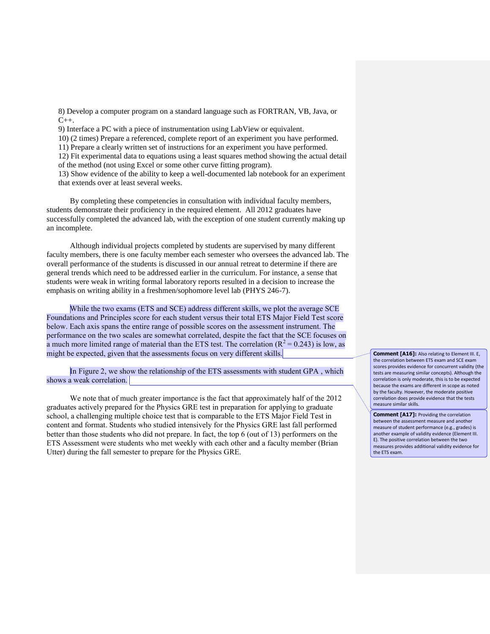8) Develop a computer program on a standard language such as FORTRAN, VB, Java, or  $C_{++}$ .

9) Interface a PC with a piece of instrumentation using LabView or equivalent.

10) (2 times) Prepare a referenced, complete report of an experiment you have performed.

11) Prepare a clearly written set of instructions for an experiment you have performed.

12) Fit experimental data to equations using a least squares method showing the actual detail

of the method (not using Excel or some other curve fitting program).

13) Show evidence of the ability to keep a well-documented lab notebook for an experiment that extends over at least several weeks.

By completing these competencies in consultation with individual faculty members, students demonstrate their proficiency in the required element. All 2012 graduates have successfully completed the advanced lab, with the exception of one student currently making up an incomplete.

Although individual projects completed by students are supervised by many different faculty members, there is one faculty member each semester who oversees the advanced lab. The overall performance of the students is discussed in our annual retreat to determine if there are general trends which need to be addressed earlier in the curriculum. For instance, a sense that students were weak in writing formal laboratory reports resulted in a decision to increase the emphasis on writing ability in a freshmen/sophomore level lab (PHYS 246-7).

While the two exams (ETS and SCE) address different skills, we plot the average SCE Foundations and Principles score for each student versus their total ETS Major Field Test score below. Each axis spans the entire range of possible scores on the assessment instrument. The performance on the two scales are somewhat correlated, despite the fact that the SCE focuses on a much more limited range of material than the ETS test. The correlation  $(R^2 = 0.243)$  is low, as might be expected, given that the assessments focus on very different skills.

In Figure 2, we show the relationship of the ETS assessments with student GPA , which shows a weak correlation.

We note that of much greater importance is the fact that approximately half of the 2012 graduates actively prepared for the Physics GRE test in preparation for applying to graduate school, a challenging multiple choice test that is comparable to the ETS Major Field Test in content and format. Students who studied intensively for the Physics GRE last fall performed better than those students who did not prepare. In fact, the top 6 (out of 13) performers on the ETS Assessment were students who met weekly with each other and a faculty member (Brian Utter) during the fall semester to prepare for the Physics GRE.

**Comment [A16]:** Also relating to Element III. E, the correlation between ETS exam and SCE exam scores provides evidence for concurrent validity (the tests are measuring similar concepts). Although the correlation is only moderate, this is to be expected because the exams are different in scope as noted by the faculty. However, the moderate positive correlation does provide evidence that the tests measure similar skills.

**Comment [A17]:** Providing the correlation between the assessment measure and another measure of student performance (e.g., grades) is another example of validity evidence (Element III. E). The positive correlation between the two measures provides additional validity evidence for the ETS exam.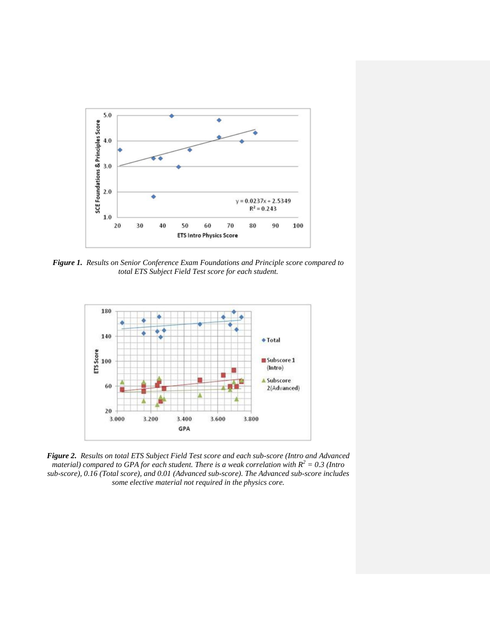

*Figure 1. Results on Senior Conference Exam Foundations and Principle score compared to total ETS Subject Field Test score for each student.*



*Figure 2. Results on total ETS Subject Field Test score and each sub-score (Intro and Advanced material) compared to GPA for each student. There is a weak correlation with*  $R^2 = 0.3$  (Intro *sub-score), 0.16 (Total score), and 0.01 (Advanced sub-score). The Advanced sub-score includes some elective material not required in the physics core.*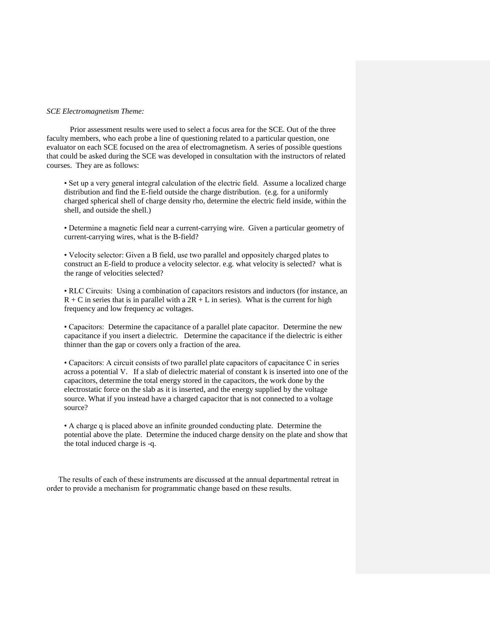#### *SCE Electromagnetism Theme:*

Prior assessment results were used to select a focus area for the SCE. Out of the three faculty members, who each probe a line of questioning related to a particular question, one evaluator on each SCE focused on the area of electromagnetism. A series of possible questions that could be asked during the SCE was developed in consultation with the instructors of related courses. They are as follows:

• Set up a very general integral calculation of the electric field. Assume a localized charge distribution and find the E-field outside the charge distribution. (e.g. for a uniformly charged spherical shell of charge density rho, determine the electric field inside, within the shell, and outside the shell.)

• Determine a magnetic field near a current-carrying wire. Given a particular geometry of current-carrying wires, what is the B-field?

• Velocity selector: Given a B field, use two parallel and oppositely charged plates to construct an E-field to produce a velocity selector. e.g. what velocity is selected? what is the range of velocities selected?

• RLC Circuits: Using a combination of capacitors resistors and inductors (for instance, an  $R + C$  in series that is in parallel with a  $2R + L$  in series). What is the current for high frequency and low frequency ac voltages.

• Capacitors: Determine the capacitance of a parallel plate capacitor. Determine the new capacitance if you insert a dielectric. Determine the capacitance if the dielectric is either thinner than the gap or covers only a fraction of the area.

• Capacitors: A circuit consists of two parallel plate capacitors of capacitance C in series across a potential V. If a slab of dielectric material of constant k is inserted into one of the capacitors, determine the total energy stored in the capacitors, the work done by the electrostatic force on the slab as it is inserted, and the energy supplied by the voltage source. What if you instead have a charged capacitor that is not connected to a voltage source?

• A charge q is placed above an infinite grounded conducting plate. Determine the potential above the plate. Determine the induced charge density on the plate and show that the total induced charge is -q.

The results of each of these instruments are discussed at the annual departmental retreat in order to provide a mechanism for programmatic change based on these results.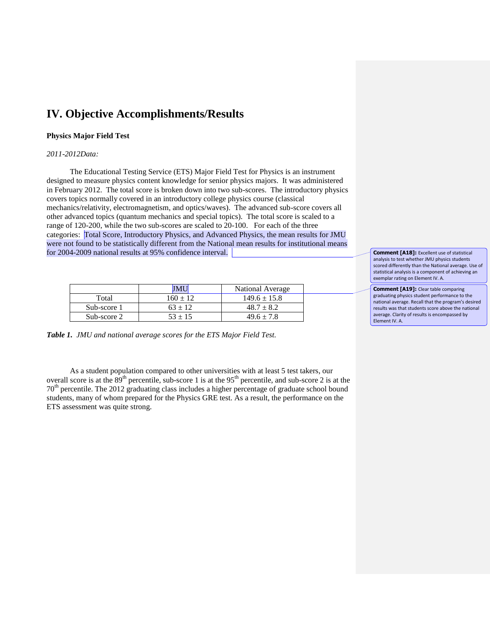# **IV. Objective Accomplishments/Results**

## **Physics Major Field Test**

### *2011-2012Data:*

The Educational Testing Service (ETS) Major Field Test for Physics is an instrument designed to measure physics content knowledge for senior physics majors. It was administered in February 2012. The total score is broken down into two sub-scores. The introductory physics covers topics normally covered in an introductory college physics course (classical mechanics/relativity, electromagnetism, and optics/waves). The advanced sub-score covers all other advanced topics (quantum mechanics and special topics). The total score is scaled to a range of 120-200, while the two sub-scores are scaled to 20-100. For each of the three categories: Total Score, Introductory Physics, and Advanced Physics, the mean results for JMU were not found to be statistically different from the National mean results for institutional means for 2004-2009 national results at 95% confidence interval.

|             |            | National Average |
|-------------|------------|------------------|
| Total       | $160 + 12$ | $149.6 \pm 15.8$ |
| Sub-score 1 | $63 + 12$  | $48.7 \pm 8.2$   |
| Sub-score 2 | $53 + 15$  | $49.6 \pm 7.8$   |

*Table 1. JMU and national average scores for the ETS Major Field Test.*

As a student population compared to other universities with at least 5 test takers, our overall score is at the  $89<sup>th</sup>$  percentile, sub-score 1 is at the 95<sup>th</sup> percentile, and sub-score 2 is at the 70th percentile. The 2012 graduating class includes a higher percentage of graduate school bound students, many of whom prepared for the Physics GRE test. As a result, the performance on the ETS assessment was quite strong.

**Comment [A18]:** Excellent use of statistical analysis to test whether JMU physics students scored differently than the National average. Use of statistical analysis is a component of achieving an exemplar rating on Element IV. A.

**Comment [A19]:** Clear table comparing graduating physics student performance to the national average. Recall that the program's desired results was that students score above the national average. Clarity of results is encompassed by Element IV. A.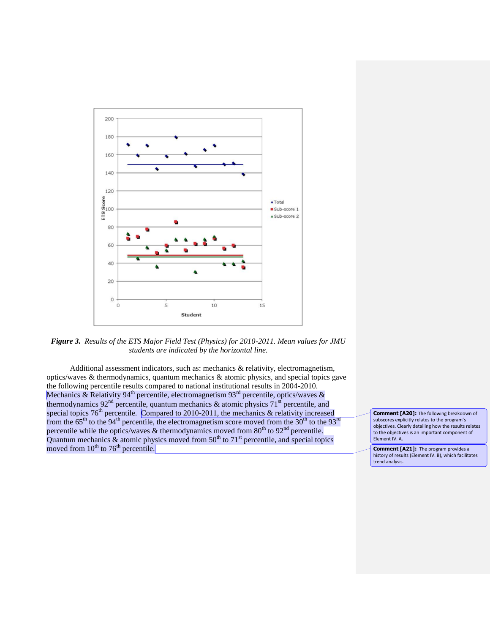

*Figure 3. Results of the ETS Major Field Test (Physics) for 2010-2011. Mean values for JMU students are indicated by the horizontal line.*

Additional assessment indicators, such as: mechanics & relativity, electromagnetism, optics/waves & thermodynamics, quantum mechanics & atomic physics, and special topics gave the following percentile results compared to national institutional results in 2004-2010. Mechanics & Relativity 94<sup>th</sup> percentile, electromagnetism 93<sup>rd</sup> percentile, optics/waves & thermodynamics 92<sup>nd</sup> percentile, quantum mechanics & atomic physics 71<sup>st</sup> percentile, and special topics  $76<sup>th</sup>$  percentile. Compared to 2010-2011, the mechanics  $\&$  relativity increased from the  $65<sup>th</sup>$  to the 94<sup>th</sup> percentile, the electromagnetism score moved from the 30<sup>th</sup> to the 93<sup>rd</sup> percentile while the optics/waves & thermodynamics moved from  $80<sup>th</sup>$  to  $92<sup>nd</sup>$  percentile. Quantum mechanics  $\&$  atomic physics moved from 50<sup>th</sup> to 71<sup>st</sup> percentile, and special topics moved from  $10^{th}$  to  $76^{th}$  percentile.

**Comment [A20]:** The following breakdown of subscores explicitly relates to the program's objectives. Clearly detailing how the results relates to the objectives is an important component of Element IV. A.

**Comment [A21]:** The program provides a history of results (Element IV. B), which facilitates trend analysis.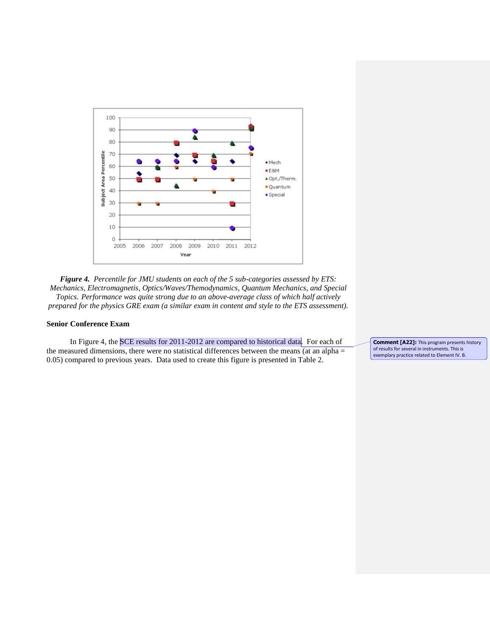

*Figure 4. Percentile for JMU students on each of the 5 sub-categories assessed by ETS: Mechanics, Electromagnetis, Optics/Waves/Themodynamics, Quantum Mechanics, and Special Topics. Performance was quite strong due to an above-average class of which half actively prepared for the physics GRE exam (a similar exam in content and style to the ETS assessment).*

## **Senior Conference Exam**

In Figure 4, the SCE results for 2011-2012 are compared to historical data. For each of the measured dimensions, there were no statistical differences between the means (at an alpha  $=$ 0.05) compared to previous years. Data used to create this figure is presented in Table 2.

**Comment [A22]:** This program presents history of results for several in instruments. This is exemplary practice related to Element IV. B.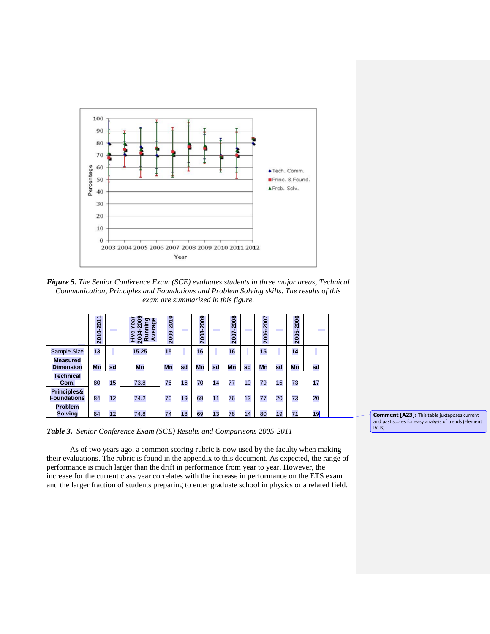

*Figure 5. The Senior Conference Exam (SCE) evaluates students in three major areas, Technical Communication, Principles and Foundations and Problem Solving skills. The results of this exam are summarized in this figure.*

|                                     | 2010-2011 |    | 009<br>ear<br>Φ<br>o.<br><b>rag</b><br>غ<br>Ē<br>Run<br><b>Avei</b><br>Five<br>2004 | 2009-2010 |    | 2009<br>2008-2 |    | 2007-2008 |    | 2006-2007 |    | 2005-2006 | <b>The College</b> |
|-------------------------------------|-----------|----|-------------------------------------------------------------------------------------|-----------|----|----------------|----|-----------|----|-----------|----|-----------|--------------------|
| Sample Size                         | 13        |    | 15.25                                                                               | 15        |    | 16             |    | 16        |    | 15        |    | 14        |                    |
| <b>Measured</b><br><b>Dimension</b> | Mn        | sd | Mn                                                                                  | Mn        | sd | Mn             | sd | Mn        | sd | Mn        | sd | Mn        | sd                 |
| <b>Technical</b><br>Com.            | 80        | 15 | 73.8                                                                                | 76        | 16 | 70             | 14 | 77        | 10 | 79        | 15 | 73        | 17                 |
| Principles&<br><b>Foundations</b>   | 84        | 12 | 74.2                                                                                | 70        | 19 | 69             | 11 | 76        | 13 | 77        | 20 | 73        | 20                 |
| Problem<br><b>Solving</b>           | 84        | 12 | 74.8                                                                                | 74        | 18 | 69             | 13 | 78        | 14 | 80        | 19 | 71        | 19                 |

*Table 3. Senior Conference Exam (SCE) Results and Comparisons 2005-2011*

As of two years ago, a common scoring rubric is now used by the faculty when making their evaluations. The rubric is found in the appendix to this document. As expected, the range of performance is much larger than the drift in performance from year to year. However, the increase for the current class year correlates with the increase in performance on the ETS exam and the larger fraction of students preparing to enter graduate school in physics or a related field.

**Comment [A23]:** This table juxtaposes current and past scores for easy analysis of trends (Element IV. B).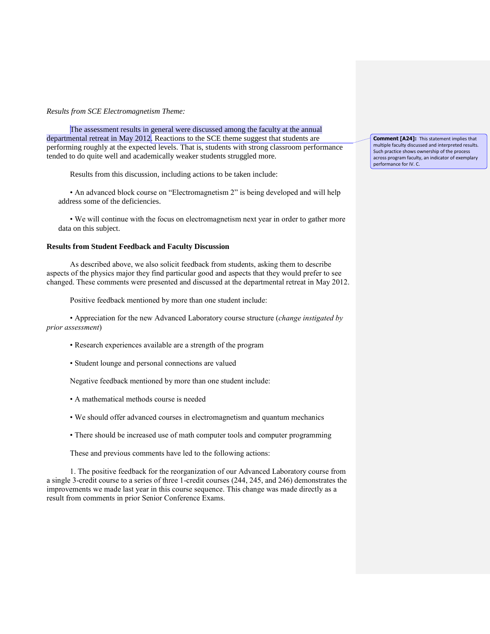### *Results from SCE Electromagnetism Theme:*

The assessment results in general were discussed among the faculty at the annual departmental retreat in May 2012. Reactions to the SCE theme suggest that students are performing roughly at the expected levels. That is, students with strong classroom performance tended to do quite well and academically weaker students struggled more.

Results from this discussion, including actions to be taken include:

• An advanced block course on "Electromagnetism 2" is being developed and will help address some of the deficiencies.

• We will continue with the focus on electromagnetism next year in order to gather more data on this subject.

### **Results from Student Feedback and Faculty Discussion**

As described above, we also solicit feedback from students, asking them to describe aspects of the physics major they find particular good and aspects that they would prefer to see changed. These comments were presented and discussed at the departmental retreat in May 2012.

Positive feedback mentioned by more than one student include:

• Appreciation for the new Advanced Laboratory course structure (*change instigated by prior assessment*)

- Research experiences available are a strength of the program
- Student lounge and personal connections are valued

Negative feedback mentioned by more than one student include:

- A mathematical methods course is needed
- We should offer advanced courses in electromagnetism and quantum mechanics
- There should be increased use of math computer tools and computer programming

These and previous comments have led to the following actions:

1. The positive feedback for the reorganization of our Advanced Laboratory course from a single 3-credit course to a series of three 1-credit courses (244, 245, and 246) demonstrates the improvements we made last year in this course sequence. This change was made directly as a result from comments in prior Senior Conference Exams.

**Comment [A24]:** This statement implies that multiple faculty discussed and interpreted results. Such practice shows ownership of the process across program faculty, an indicator of exemplary performance for IV. C.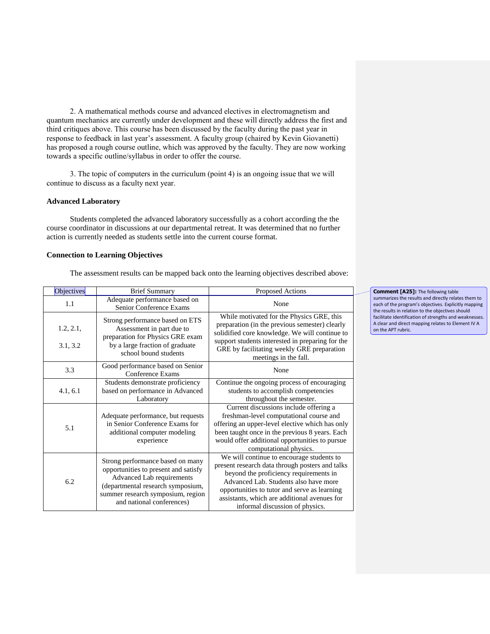2. A mathematical methods course and advanced electives in electromagnetism and quantum mechanics are currently under development and these will directly address the first and third critiques above. This course has been discussed by the faculty during the past year in response to feedback in last year's assessment. A faculty group (chaired by Kevin Giovanetti) has proposed a rough course outline, which was approved by the faculty. They are now working towards a specific outline/syllabus in order to offer the course.

3. The topic of computers in the curriculum (point 4) is an ongoing issue that we will continue to discuss as a faculty next year.

### **Advanced Laboratory**

Students completed the advanced laboratory successfully as a cohort according the the course coordinator in discussions at our departmental retreat. It was determined that no further action is currently needed as students settle into the current course format.

## **Connection to Learning Objectives**

The assessment results can be mapped back onto the learning objectives described above:

| Objectives            | <b>Brief Summary</b>                                                                                                                                                                                         | Proposed Actions                                                                                                                                                                                                                                                                                                   |
|-----------------------|--------------------------------------------------------------------------------------------------------------------------------------------------------------------------------------------------------------|--------------------------------------------------------------------------------------------------------------------------------------------------------------------------------------------------------------------------------------------------------------------------------------------------------------------|
| 1.1                   | Adequate performance based on<br>Senior Conference Exams                                                                                                                                                     | None                                                                                                                                                                                                                                                                                                               |
| 1.2, 2.1,<br>3.1, 3.2 | Strong performance based on ETS<br>Assessment in part due to<br>preparation for Physics GRE exam<br>by a large fraction of graduate<br>school bound students                                                 | While motivated for the Physics GRE, this<br>preparation (in the previous semester) clearly<br>solidified core knowledge. We will continue to<br>support students interested in preparing for the<br>GRE by facilitating weekly GRE preparation<br>meetings in the fall.                                           |
| 3.3                   | Good performance based on Senior<br>Conference Exams                                                                                                                                                         | None                                                                                                                                                                                                                                                                                                               |
| 4.1, 6.1              | Students demonstrate proficiency<br>based on performance in Advanced<br>Laboratory                                                                                                                           | Continue the ongoing process of encouraging<br>students to accomplish competencies<br>throughout the semester.                                                                                                                                                                                                     |
| 5.1                   | Adequate performance, but requests<br>in Senior Conference Exams for<br>additional computer modeling<br>experience                                                                                           | Current discussions include offering a<br>freshman-level computational course and<br>offering an upper-level elective which has only<br>been taught once in the previous 8 years. Each<br>would offer additional opportunities to pursue<br>computational physics.                                                 |
| 6.2                   | Strong performance based on many<br>opportunities to present and satisfy<br>Advanced Lab requirements<br>(departmental research symposium,<br>summer research symposium, region<br>and national conferences) | We will continue to encourage students to<br>present research data through posters and talks<br>beyond the proficiency requirements in<br>Advanced Lab. Students also have more<br>opportunities to tutor and serve as learning<br>assistants, which are additional avenues for<br>informal discussion of physics. |

**Comment [A25]:** The following table summarizes the results and directly relates them to each of the program's objectives. Explicitly mapping the results in relation to the objectives should facilitate identification of strengths and weaknesses. A clear and direct mapping relates to Element IV A on the APT rubric.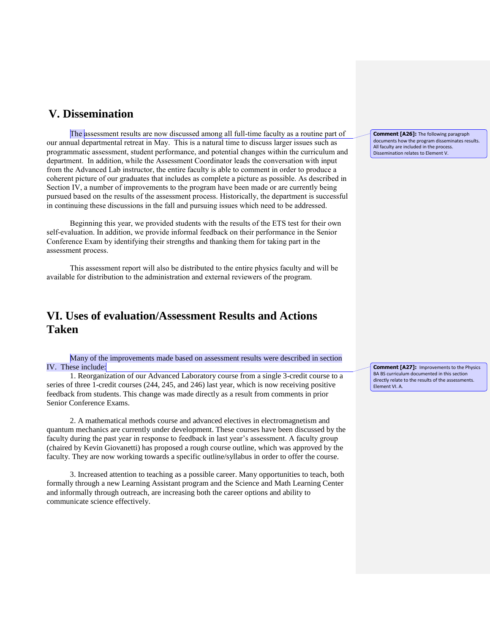## **V. Dissemination**

The assessment results are now discussed among all full-time faculty as a routine part of our annual departmental retreat in May. This is a natural time to discuss larger issues such as programmatic assessment, student performance, and potential changes within the curriculum and department. In addition, while the Assessment Coordinator leads the conversation with input from the Advanced Lab instructor, the entire faculty is able to comment in order to produce a coherent picture of our graduates that includes as complete a picture as possible. As described in Section IV, a number of improvements to the program have been made or are currently being pursued based on the results of the assessment process. Historically, the department is successful in continuing these discussions in the fall and pursuing issues which need to be addressed.

Beginning this year, we provided students with the results of the ETS test for their own self-evaluation. In addition, we provide informal feedback on their performance in the Senior Conference Exam by identifying their strengths and thanking them for taking part in the assessment process.

This assessment report will also be distributed to the entire physics faculty and will be available for distribution to the administration and external reviewers of the program.

# **VI. Uses of evaluation/Assessment Results and Actions Taken**

 Many of the improvements made based on assessment results were described in section IV. These include:

 1. Reorganization of our Advanced Laboratory course from a single 3-credit course to a series of three 1-credit courses (244, 245, and 246) last year, which is now receiving positive feedback from students. This change was made directly as a result from comments in prior Senior Conference Exams.

 2. A mathematical methods course and advanced electives in electromagnetism and quantum mechanics are currently under development. These courses have been discussed by the faculty during the past year in response to feedback in last year's assessment. A faculty group (chaired by Kevin Giovanetti) has proposed a rough course outline, which was approved by the faculty. They are now working towards a specific outline/syllabus in order to offer the course.

3. Increased attention to teaching as a possible career. Many opportunities to teach, both formally through a new Learning Assistant program and the Science and Math Learning Center and informally through outreach, are increasing both the career options and ability to communicate science effectively.

**Comment [A26]:** The following paragraph documents how the program disseminates results. All faculty are included in the process. Dissemination relates to Element V.

**Comment [A27]:** Improvements to the Physics BA BS curriculum documented in this section directly relate to the results of the assessments. Element VI. A.